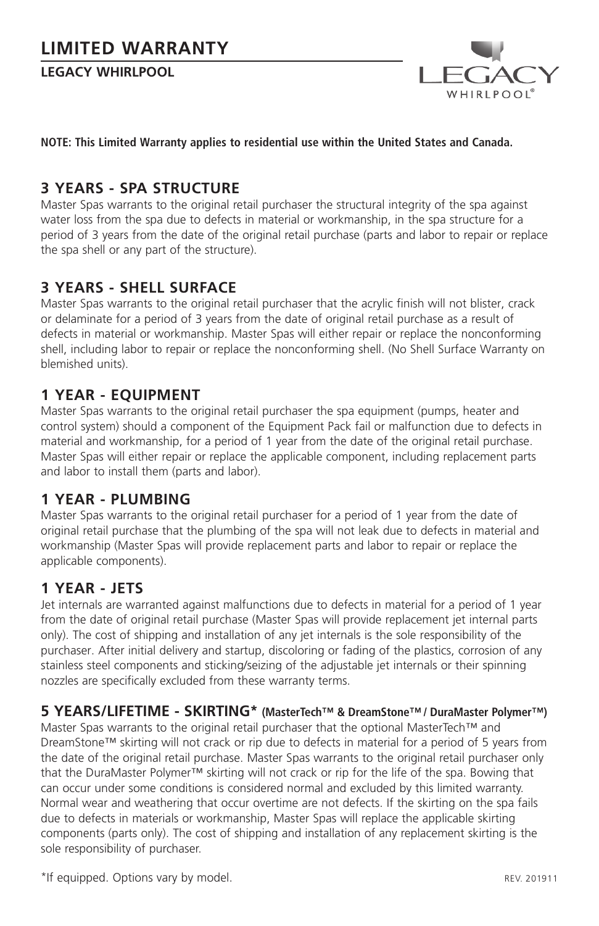**LEGACY WHIRLPOOL** 



#### **NOTE: This Limited Warranty applies to residential use within the United States and Canada.**

## **3 YEARS - SPA STRUCTURE**

Master Spas warrants to the original retail purchaser the structural integrity of the spa against water loss from the spa due to defects in material or workmanship, in the spa structure for a period of 3 years from the date of the original retail purchase (parts and labor to repair or replace the spa shell or any part of the structure).

## **3 YEARS - SHELL SURFACE**

Master Spas warrants to the original retail purchaser that the acrylic finish will not blister, crack or delaminate for a period of 3 years from the date of original retail purchase as a result of defects in material or workmanship. Master Spas will either repair or replace the nonconforming shell, including labor to repair or replace the nonconforming shell. (No Shell Surface Warranty on blemished units).

## **1 YEAR - EQUIPMENT**

Master Spas warrants to the original retail purchaser the spa equipment (pumps, heater and control system) should a component of the Equipment Pack fail or malfunction due to defects in material and workmanship, for a period of 1 year from the date of the original retail purchase. Master Spas will either repair or replace the applicable component, including replacement parts and labor to install them (parts and labor).

## **1 YEAR - PLUMBING**

Master Spas warrants to the original retail purchaser for a period of 1 year from the date of original retail purchase that the plumbing of the spa will not leak due to defects in material and workmanship (Master Spas will provide replacement parts and labor to repair or replace the applicable components).

## **1 YEAR - JETS**

Jet internals are warranted against malfunctions due to defects in material for a period of 1 year from the date of original retail purchase (Master Spas will provide replacement jet internal parts only). The cost of shipping and installation of any jet internals is the sole responsibility of the purchaser. After initial delivery and startup, discoloring or fading of the plastics, corrosion of any stainless steel components and sticking/seizing of the adjustable jet internals or their spinning nozzles are specifically excluded from these warranty terms.

## **5 YEARS/LIFETIME - SKIRTING\* (MasterTech™ & DreamStone™ / DuraMaster Polymer™)**

Master Spas warrants to the original retail purchaser that the optional MasterTech™ and DreamStone™ skirting will not crack or rip due to defects in material for a period of 5 years from the date of the original retail purchase. Master Spas warrants to the original retail purchaser only that the DuraMaster Polymer™ skirting will not crack or rip for the life of the spa. Bowing that can occur under some conditions is considered normal and excluded by this limited warranty. Normal wear and weathering that occur overtime are not defects. If the skirting on the spa fails due to defects in materials or workmanship, Master Spas will replace the applicable skirting components (parts only). The cost of shipping and installation of any replacement skirting is the sole responsibility of purchaser.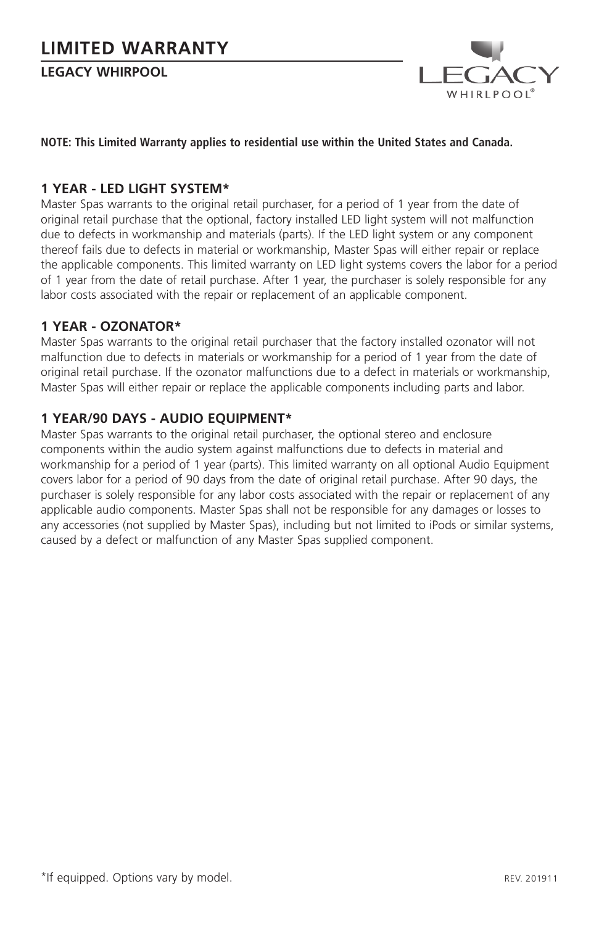**LEGACY WHIRPOOL**



#### **NOTE: This Limited Warranty applies to residential use within the United States and Canada.**

#### **1 YEAR - LED LIGHT SYSTEM\***

Master Spas warrants to the original retail purchaser, for a period of 1 year from the date of original retail purchase that the optional, factory installed LED light system will not malfunction due to defects in workmanship and materials (parts). If the LED light system or any component thereof fails due to defects in material or workmanship, Master Spas will either repair or replace the applicable components. This limited warranty on LED light systems covers the labor for a period of 1 year from the date of retail purchase. After 1 year, the purchaser is solely responsible for any labor costs associated with the repair or replacement of an applicable component.

#### **1 YEAR - OZONATOR\***

Master Spas warrants to the original retail purchaser that the factory installed ozonator will not malfunction due to defects in materials or workmanship for a period of 1 year from the date of original retail purchase. If the ozonator malfunctions due to a defect in materials or workmanship, Master Spas will either repair or replace the applicable components including parts and labor.

#### **1 YEAR/90 DAYS - AUDIO EQUIPMENT\***

Master Spas warrants to the original retail purchaser, the optional stereo and enclosure components within the audio system against malfunctions due to defects in material and workmanship for a period of 1 year (parts). This limited warranty on all optional Audio Equipment covers labor for a period of 90 days from the date of original retail purchase. After 90 days, the purchaser is solely responsible for any labor costs associated with the repair or replacement of any applicable audio components. Master Spas shall not be responsible for any damages or losses to any accessories (not supplied by Master Spas), including but not limited to iPods or similar systems, caused by a defect or malfunction of any Master Spas supplied component.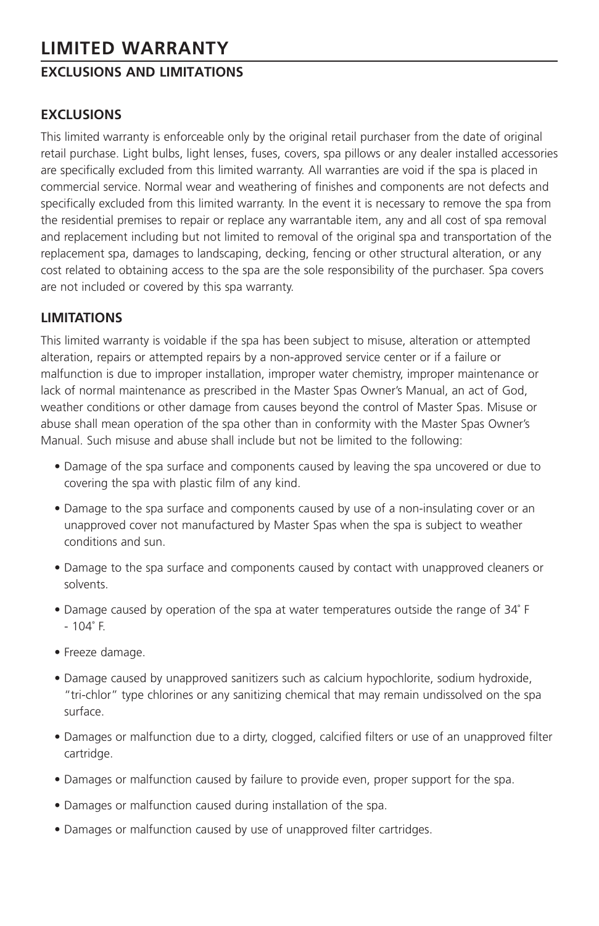## **EXCLUSIONS AND LIMITATIONS**

## **EXCLUSIONS**

This limited warranty is enforceable only by the original retail purchaser from the date of original retail purchase. Light bulbs, light lenses, fuses, covers, spa pillows or any dealer installed accessories are specifically excluded from this limited warranty. All warranties are void if the spa is placed in commercial service. Normal wear and weathering of finishes and components are not defects and specifically excluded from this limited warranty. In the event it is necessary to remove the spa from the residential premises to repair or replace any warrantable item, any and all cost of spa removal and replacement including but not limited to removal of the original spa and transportation of the replacement spa, damages to landscaping, decking, fencing or other structural alteration, or any cost related to obtaining access to the spa are the sole responsibility of the purchaser. Spa covers are not included or covered by this spa warranty.

## **LIMITATIONS**

This limited warranty is voidable if the spa has been subject to misuse, alteration or attempted alteration, repairs or attempted repairs by a non-approved service center or if a failure or malfunction is due to improper installation, improper water chemistry, improper maintenance or lack of normal maintenance as prescribed in the Master Spas Owner's Manual, an act of God, weather conditions or other damage from causes beyond the control of Master Spas. Misuse or abuse shall mean operation of the spa other than in conformity with the Master Spas Owner's Manual. Such misuse and abuse shall include but not be limited to the following:

- Damage of the spa surface and components caused by leaving the spa uncovered or due to covering the spa with plastic film of any kind.
- Damage to the spa surface and components caused by use of a non-insulating cover or an unapproved cover not manufactured by Master Spas when the spa is subject to weather conditions and sun.
- Damage to the spa surface and components caused by contact with unapproved cleaners or solvents.
- Damage caused by operation of the spa at water temperatures outside the range of 34˚ F - 104˚ F.
- Freeze damage.
- Damage caused by unapproved sanitizers such as calcium hypochlorite, sodium hydroxide, "tri-chlor" type chlorines or any sanitizing chemical that may remain undissolved on the spa surface.
- Damages or malfunction due to a dirty, clogged, calcified filters or use of an unapproved filter cartridge.
- Damages or malfunction caused by failure to provide even, proper support for the spa.
- Damages or malfunction caused during installation of the spa.
- Damages or malfunction caused by use of unapproved filter cartridges.